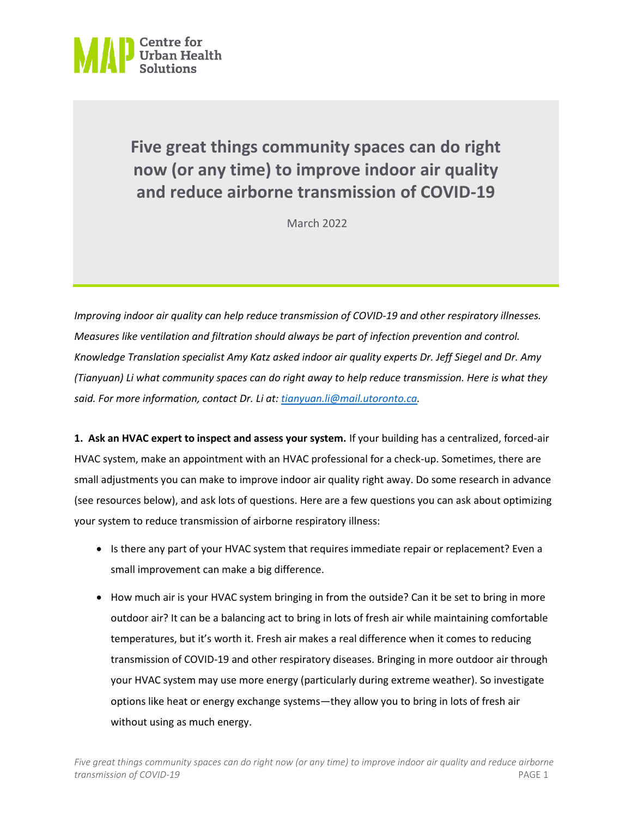

## **Five great things community spaces can do right now (or any time) to improve indoor air quality and reduce airborne transmission of COVID-19**

March 2022

*Improving indoor air quality can help reduce transmission of COVID-19 and other respiratory illnesses. Measures like ventilation and filtration should always be part of infection prevention and control. Knowledge Translation specialist Amy Katz asked indoor air quality experts Dr. Jeff Siegel and Dr. Amy (Tianyuan) Li what community spaces can do right away to help reduce transmission. Here is what they said. For more information, contact Dr. Li at[: tianyuan.li@mail.utoronto.ca.](mailto:tianyuan.li@mail.utoronto.ca)*

**1. Ask an HVAC expert to inspect and assess your system.** If your building has a centralized, forced-air HVAC system, make an appointment with an HVAC professional for a check-up. Sometimes, there are small adjustments you can make to improve indoor air quality right away. Do some research in advance (see resources below), and ask lots of questions. Here are a few questions you can ask about optimizing your system to reduce transmission of airborne respiratory illness:

- Is there any part of your HVAC system that requires immediate repair or replacement? Even a small improvement can make a big difference.
- How much air is your HVAC system bringing in from the outside? Can it be set to bring in more outdoor air? It can be a balancing act to bring in lots of fresh air while maintaining comfortable temperatures, but it's worth it. Fresh air makes a real difference when it comes to reducing transmission of COVID-19 and other respiratory diseases. Bringing in more outdoor air through your HVAC system may use more energy (particularly during extreme weather). So investigate options like heat or energy exchange systems—they allow you to bring in lots of fresh air without using as much energy.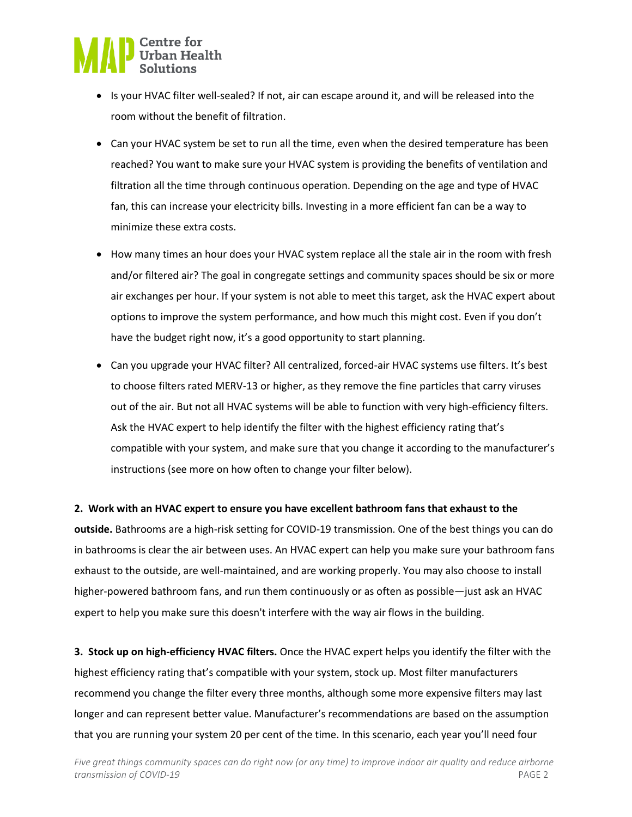

- Is your HVAC filter well-sealed? If not, air can escape around it, and will be released into the room without the benefit of filtration.
- Can your HVAC system be set to run all the time, even when the desired temperature has been reached? You want to make sure your HVAC system is providing the benefits of ventilation and filtration all the time through continuous operation. Depending on the age and type of HVAC fan, this can increase your electricity bills. Investing in a more efficient fan can be a way to minimize these extra costs.
- How many times an hour does your HVAC system replace all the stale air in the room with fresh and/or filtered air? The goal in congregate settings and community spaces should be six or more air exchanges per hour. If your system is not able to meet this target, ask the HVAC expert about options to improve the system performance, and how much this might cost. Even if you don't have the budget right now, it's a good opportunity to start planning.
- Can you upgrade your HVAC filter? All centralized, forced-air HVAC systems use filters. It's best to choose filters rated MERV-13 or higher, as they remove the fine particles that carry viruses out of the air. But not all HVAC systems will be able to function with very high-efficiency filters. Ask the HVAC expert to help identify the filter with the highest efficiency rating that's compatible with your system, and make sure that you change it according to the manufacturer's instructions (see more on how often to change your filter below).

#### **2. Work with an HVAC expert to ensure you have excellent bathroom fans that exhaust to the**

**outside.** Bathrooms are a high-risk setting for COVID-19 transmission. One of the best things you can do in bathrooms is clear the air between uses. An HVAC expert can help you make sure your bathroom fans exhaust to the outside, are well-maintained, and are working properly. You may also choose to install higher-powered bathroom fans, and run them continuously or as often as possible—just ask an HVAC expert to help you make sure this doesn't interfere with the way air flows in the building.

**3. Stock up on high-efficiency HVAC filters.** Once the HVAC expert helps you identify the filter with the highest efficiency rating that's compatible with your system, stock up. Most filter manufacturers recommend you change the filter every three months, although some more expensive filters may last longer and can represent better value. Manufacturer's recommendations are based on the assumption that you are running your system 20 per cent of the time. In this scenario, each year you'll need four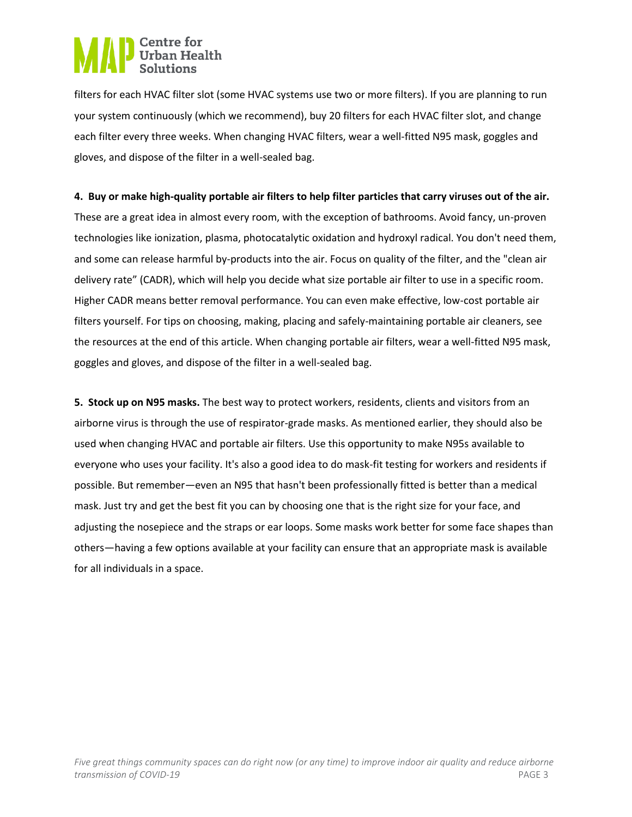# **D** Centre for<br>Urban Health

filters for each HVAC filter slot (some HVAC systems use two or more filters). If you are planning to run your system continuously (which we recommend), buy 20 filters for each HVAC filter slot, and change each filter every three weeks. When changing HVAC filters, wear a well-fitted N95 mask, goggles and gloves, and dispose of the filter in a well-sealed bag.

### **4. Buy or make high-quality portable air filters to help filter particles that carry viruses out of the air.**

These are a great idea in almost every room, with the exception of bathrooms. Avoid fancy, un-proven technologies like ionization, plasma, photocatalytic oxidation and hydroxyl radical. You don't need them, and some can release harmful by-products into the air. Focus on quality of the filter, and the "clean air delivery rate" (CADR), which will help you decide what size portable air filter to use in a specific room. Higher CADR means better removal performance. You can even make effective, low-cost portable air filters yourself. For tips on choosing, making, placing and safely-maintaining portable air cleaners, see the resources at the end of this article. When changing portable air filters, wear a well-fitted N95 mask, goggles and gloves, and dispose of the filter in a well-sealed bag.

**5. Stock up on N95 masks.** The best way to protect workers, residents, clients and visitors from an airborne virus is through the use of respirator-grade masks. As mentioned earlier, they should also be used when changing HVAC and portable air filters. Use this opportunity to make N95s available to everyone who uses your facility. It's also a good idea to do mask-fit testing for workers and residents if possible. But remember—even an N95 that hasn't been professionally fitted is better than a medical mask. Just try and get the best fit you can by choosing one that is the right size for your face, and adjusting the nosepiece and the straps or ear loops. Some masks work better for some face shapes than others—having a few options available at your facility can ensure that an appropriate mask is available for all individuals in a space.